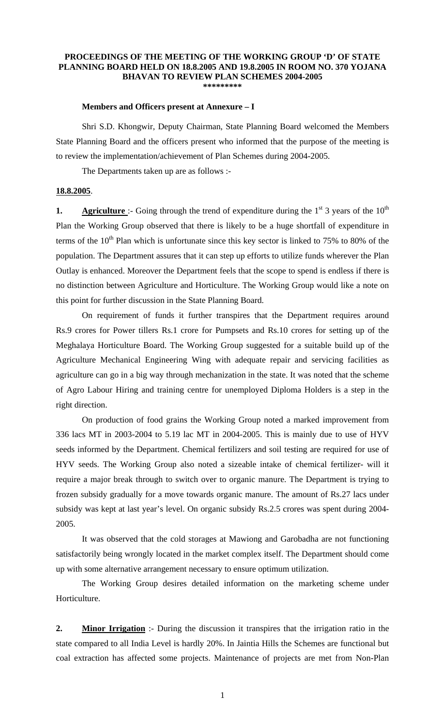## **PROCEEDINGS OF THE MEETING OF THE WORKING GROUP 'D' OF STATE PLANNING BOARD HELD ON 18.8.2005 AND 19.8.2005 IN ROOM NO. 370 YOJANA BHAVAN TO REVIEW PLAN SCHEMES 2004-2005 \*\*\*\*\*\*\*\*\***

## **Members and Officers present at Annexure – I**

 Shri S.D. Khongwir, Deputy Chairman, State Planning Board welcomed the Members State Planning Board and the officers present who informed that the purpose of the meeting is to review the implementation/achievement of Plan Schemes during 2004-2005.

The Departments taken up are as follows :-

## **18.8.2005**.

**1. Agriculture** :- Going through the trend of expenditure during the  $1<sup>st</sup>$  3 years of the  $10<sup>th</sup>$ Plan the Working Group observed that there is likely to be a huge shortfall of expenditure in terms of the  $10<sup>th</sup>$  Plan which is unfortunate since this key sector is linked to 75% to 80% of the population. The Department assures that it can step up efforts to utilize funds wherever the Plan Outlay is enhanced. Moreover the Department feels that the scope to spend is endless if there is no distinction between Agriculture and Horticulture. The Working Group would like a note on this point for further discussion in the State Planning Board.

 On requirement of funds it further transpires that the Department requires around Rs.9 crores for Power tillers Rs.1 crore for Pumpsets and Rs.10 crores for setting up of the Meghalaya Horticulture Board. The Working Group suggested for a suitable build up of the Agriculture Mechanical Engineering Wing with adequate repair and servicing facilities as agriculture can go in a big way through mechanization in the state. It was noted that the scheme of Agro Labour Hiring and training centre for unemployed Diploma Holders is a step in the right direction.

 On production of food grains the Working Group noted a marked improvement from 336 lacs MT in 2003-2004 to 5.19 lac MT in 2004-2005. This is mainly due to use of HYV seeds informed by the Department. Chemical fertilizers and soil testing are required for use of HYV seeds. The Working Group also noted a sizeable intake of chemical fertilizer- will it require a major break through to switch over to organic manure. The Department is trying to frozen subsidy gradually for a move towards organic manure. The amount of Rs.27 lacs under subsidy was kept at last year's level. On organic subsidy Rs.2.5 crores was spent during 2004- 2005.

 It was observed that the cold storages at Mawiong and Garobadha are not functioning satisfactorily being wrongly located in the market complex itself. The Department should come up with some alternative arrangement necessary to ensure optimum utilization.

 The Working Group desires detailed information on the marketing scheme under Horticulture.

**2. Minor Irrigation** :- During the discussion it transpires that the irrigation ratio in the state compared to all India Level is hardly 20%. In Jaintia Hills the Schemes are functional but coal extraction has affected some projects. Maintenance of projects are met from Non-Plan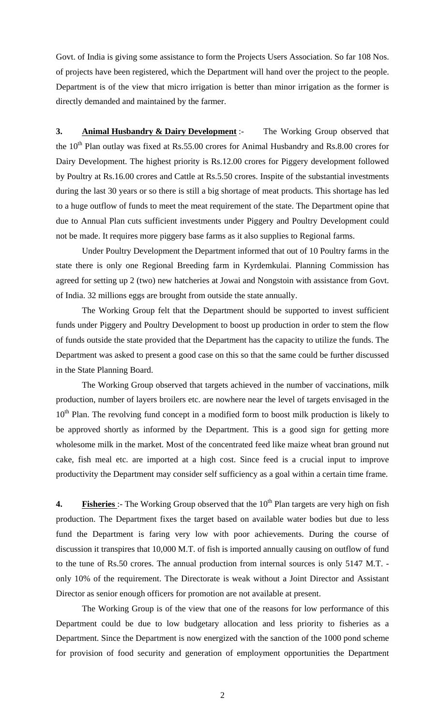Govt. of India is giving some assistance to form the Projects Users Association. So far 108 Nos. of projects have been registered, which the Department will hand over the project to the people. Department is of the view that micro irrigation is better than minor irrigation as the former is directly demanded and maintained by the farmer.

**3. Animal Husbandry & Dairy Development** :- The Working Group observed that the  $10<sup>th</sup>$  Plan outlay was fixed at Rs.55.00 crores for Animal Husbandry and Rs.8.00 crores for Dairy Development. The highest priority is Rs.12.00 crores for Piggery development followed by Poultry at Rs.16.00 crores and Cattle at Rs.5.50 crores. Inspite of the substantial investments during the last 30 years or so there is still a big shortage of meat products. This shortage has led to a huge outflow of funds to meet the meat requirement of the state. The Department opine that due to Annual Plan cuts sufficient investments under Piggery and Poultry Development could not be made. It requires more piggery base farms as it also supplies to Regional farms.

 Under Poultry Development the Department informed that out of 10 Poultry farms in the state there is only one Regional Breeding farm in Kyrdemkulai. Planning Commission has agreed for setting up 2 (two) new hatcheries at Jowai and Nongstoin with assistance from Govt. of India. 32 millions eggs are brought from outside the state annually.

 The Working Group felt that the Department should be supported to invest sufficient funds under Piggery and Poultry Development to boost up production in order to stem the flow of funds outside the state provided that the Department has the capacity to utilize the funds. The Department was asked to present a good case on this so that the same could be further discussed in the State Planning Board.

The Working Group observed that targets achieved in the number of vaccinations, milk production, number of layers broilers etc. are nowhere near the level of targets envisaged in the  $10<sup>th</sup>$  Plan. The revolving fund concept in a modified form to boost milk production is likely to be approved shortly as informed by the Department. This is a good sign for getting more wholesome milk in the market. Most of the concentrated feed like maize wheat bran ground nut cake, fish meal etc. are imported at a high cost. Since feed is a crucial input to improve productivity the Department may consider self sufficiency as a goal within a certain time frame.

**4. Fisheries** :- The Working Group observed that the 10<sup>th</sup> Plan targets are very high on fish production. The Department fixes the target based on available water bodies but due to less fund the Department is faring very low with poor achievements. During the course of discussion it transpires that 10,000 M.T. of fish is imported annually causing on outflow of fund to the tune of Rs.50 crores. The annual production from internal sources is only 5147 M.T. only 10% of the requirement. The Directorate is weak without a Joint Director and Assistant Director as senior enough officers for promotion are not available at present.

 The Working Group is of the view that one of the reasons for low performance of this Department could be due to low budgetary allocation and less priority to fisheries as a Department. Since the Department is now energized with the sanction of the 1000 pond scheme for provision of food security and generation of employment opportunities the Department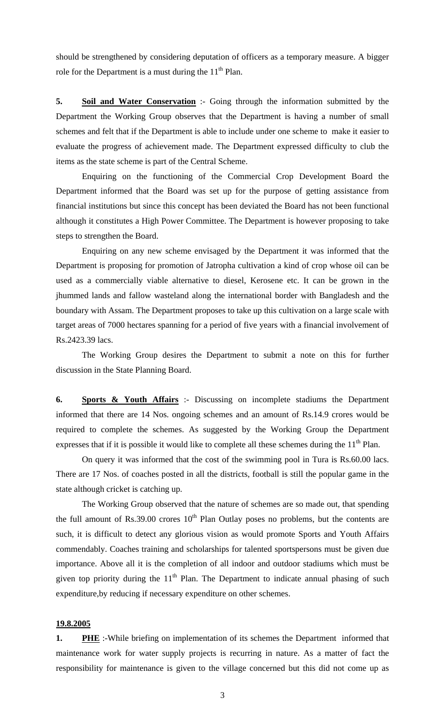should be strengthened by considering deputation of officers as a temporary measure. A bigger role for the Department is a must during the  $11<sup>th</sup>$  Plan.

**5. Soil and Water Conservation** :- Going through the information submitted by the Department the Working Group observes that the Department is having a number of small schemes and felt that if the Department is able to include under one scheme to make it easier to evaluate the progress of achievement made. The Department expressed difficulty to club the items as the state scheme is part of the Central Scheme.

 Enquiring on the functioning of the Commercial Crop Development Board the Department informed that the Board was set up for the purpose of getting assistance from financial institutions but since this concept has been deviated the Board has not been functional although it constitutes a High Power Committee. The Department is however proposing to take steps to strengthen the Board.

 Enquiring on any new scheme envisaged by the Department it was informed that the Department is proposing for promotion of Jatropha cultivation a kind of crop whose oil can be used as a commercially viable alternative to diesel, Kerosene etc. It can be grown in the jhummed lands and fallow wasteland along the international border with Bangladesh and the boundary with Assam. The Department proposes to take up this cultivation on a large scale with target areas of 7000 hectares spanning for a period of five years with a financial involvement of Rs.2423.39 lacs.

 The Working Group desires the Department to submit a note on this for further discussion in the State Planning Board.

**6. Sports & Youth Affairs** :- Discussing on incomplete stadiums the Department informed that there are 14 Nos. ongoing schemes and an amount of Rs.14.9 crores would be required to complete the schemes. As suggested by the Working Group the Department expresses that if it is possible it would like to complete all these schemes during the  $11<sup>th</sup>$  Plan.

On query it was informed that the cost of the swimming pool in Tura is Rs.60.00 lacs. There are 17 Nos. of coaches posted in all the districts, football is still the popular game in the state although cricket is catching up.

 The Working Group observed that the nature of schemes are so made out, that spending the full amount of Rs.39.00 crores  $10<sup>th</sup>$  Plan Outlay poses no problems, but the contents are such, it is difficult to detect any glorious vision as would promote Sports and Youth Affairs commendably. Coaches training and scholarships for talented sportspersons must be given due importance. Above all it is the completion of all indoor and outdoor stadiums which must be given top priority during the  $11<sup>th</sup>$  Plan. The Department to indicate annual phasing of such expenditure,by reducing if necessary expenditure on other schemes.

## **19.8.2005**

**1. PHE** :-While briefing on implementation of its schemes the Department informed that maintenance work for water supply projects is recurring in nature. As a matter of fact the responsibility for maintenance is given to the village concerned but this did not come up as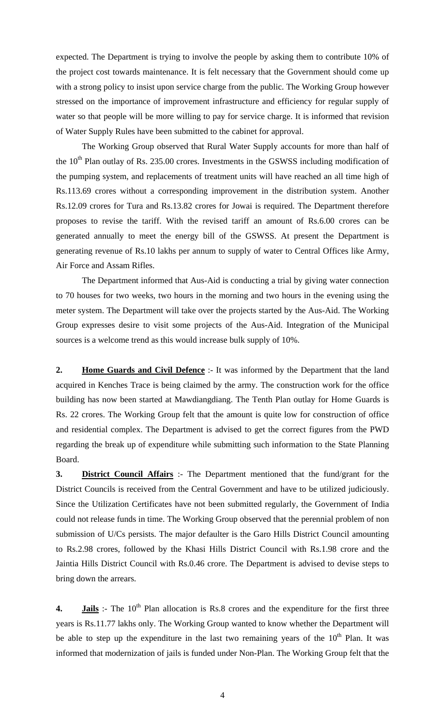expected. The Department is trying to involve the people by asking them to contribute 10% of the project cost towards maintenance. It is felt necessary that the Government should come up with a strong policy to insist upon service charge from the public. The Working Group however stressed on the importance of improvement infrastructure and efficiency for regular supply of water so that people will be more willing to pay for service charge. It is informed that revision of Water Supply Rules have been submitted to the cabinet for approval.

 The Working Group observed that Rural Water Supply accounts for more than half of the  $10<sup>th</sup>$  Plan outlay of Rs. 235.00 crores. Investments in the GSWSS including modification of the pumping system, and replacements of treatment units will have reached an all time high of Rs.113.69 crores without a corresponding improvement in the distribution system. Another Rs.12.09 crores for Tura and Rs.13.82 crores for Jowai is required. The Department therefore proposes to revise the tariff. With the revised tariff an amount of Rs.6.00 crores can be generated annually to meet the energy bill of the GSWSS. At present the Department is generating revenue of Rs.10 lakhs per annum to supply of water to Central Offices like Army, Air Force and Assam Rifles.

 The Department informed that Aus-Aid is conducting a trial by giving water connection to 70 houses for two weeks, two hours in the morning and two hours in the evening using the meter system. The Department will take over the projects started by the Aus-Aid. The Working Group expresses desire to visit some projects of the Aus-Aid. Integration of the Municipal sources is a welcome trend as this would increase bulk supply of 10%.

**2. Home Guards and Civil Defence** :- It was informed by the Department that the land acquired in Kenches Trace is being claimed by the army. The construction work for the office building has now been started at Mawdiangdiang. The Tenth Plan outlay for Home Guards is Rs. 22 crores. The Working Group felt that the amount is quite low for construction of office and residential complex. The Department is advised to get the correct figures from the PWD regarding the break up of expenditure while submitting such information to the State Planning Board.

**3. District Council Affairs** :- The Department mentioned that the fund/grant for the District Councils is received from the Central Government and have to be utilized judiciously. Since the Utilization Certificates have not been submitted regularly, the Government of India could not release funds in time. The Working Group observed that the perennial problem of non submission of U/Cs persists. The major defaulter is the Garo Hills District Council amounting to Rs.2.98 crores, followed by the Khasi Hills District Council with Rs.1.98 crore and the Jaintia Hills District Council with Rs.0.46 crore. The Department is advised to devise steps to bring down the arrears.

**4. Jails** :- The 10<sup>th</sup> Plan allocation is Rs.8 crores and the expenditure for the first three years is Rs.11.77 lakhs only. The Working Group wanted to know whether the Department will be able to step up the expenditure in the last two remaining years of the  $10<sup>th</sup>$  Plan. It was informed that modernization of jails is funded under Non-Plan. The Working Group felt that the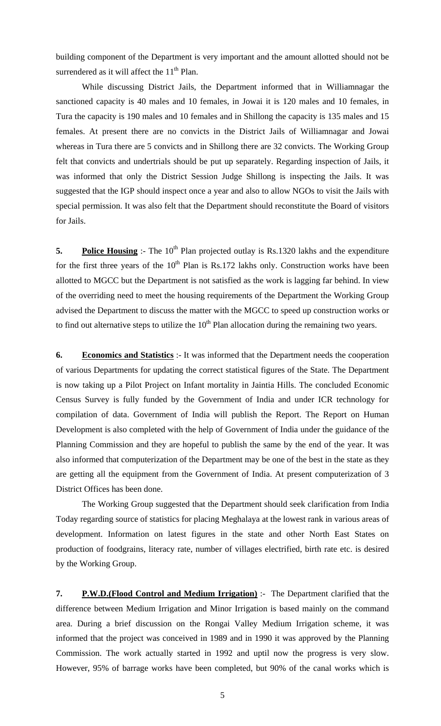building component of the Department is very important and the amount allotted should not be surrendered as it will affect the  $11<sup>th</sup>$  Plan.

 While discussing District Jails, the Department informed that in Williamnagar the sanctioned capacity is 40 males and 10 females, in Jowai it is 120 males and 10 females, in Tura the capacity is 190 males and 10 females and in Shillong the capacity is 135 males and 15 females. At present there are no convicts in the District Jails of Williamnagar and Jowai whereas in Tura there are 5 convicts and in Shillong there are 32 convicts. The Working Group felt that convicts and undertrials should be put up separately. Regarding inspection of Jails, it was informed that only the District Session Judge Shillong is inspecting the Jails. It was suggested that the IGP should inspect once a year and also to allow NGOs to visit the Jails with special permission. It was also felt that the Department should reconstitute the Board of visitors for Jails.

**5. Police Housing** :- The 10<sup>th</sup> Plan projected outlay is Rs.1320 lakhs and the expenditure for the first three years of the  $10<sup>th</sup>$  Plan is Rs.172 lakhs only. Construction works have been allotted to MGCC but the Department is not satisfied as the work is lagging far behind. In view of the overriding need to meet the housing requirements of the Department the Working Group advised the Department to discuss the matter with the MGCC to speed up construction works or to find out alternative steps to utilize the  $10<sup>th</sup>$  Plan allocation during the remaining two years.

**6. Economics and Statistics** :- It was informed that the Department needs the cooperation of various Departments for updating the correct statistical figures of the State. The Department is now taking up a Pilot Project on Infant mortality in Jaintia Hills. The concluded Economic Census Survey is fully funded by the Government of India and under ICR technology for compilation of data. Government of India will publish the Report. The Report on Human Development is also completed with the help of Government of India under the guidance of the Planning Commission and they are hopeful to publish the same by the end of the year. It was also informed that computerization of the Department may be one of the best in the state as they are getting all the equipment from the Government of India. At present computerization of 3 District Offices has been done.

 The Working Group suggested that the Department should seek clarification from India Today regarding source of statistics for placing Meghalaya at the lowest rank in various areas of development. Information on latest figures in the state and other North East States on production of foodgrains, literacy rate, number of villages electrified, birth rate etc. is desired by the Working Group.

**7. P.W.D.(Flood Control and Medium Irrigation)** :- The Department clarified that the difference between Medium Irrigation and Minor Irrigation is based mainly on the command area. During a brief discussion on the Rongai Valley Medium Irrigation scheme, it was informed that the project was conceived in 1989 and in 1990 it was approved by the Planning Commission. The work actually started in 1992 and uptil now the progress is very slow. However, 95% of barrage works have been completed, but 90% of the canal works which is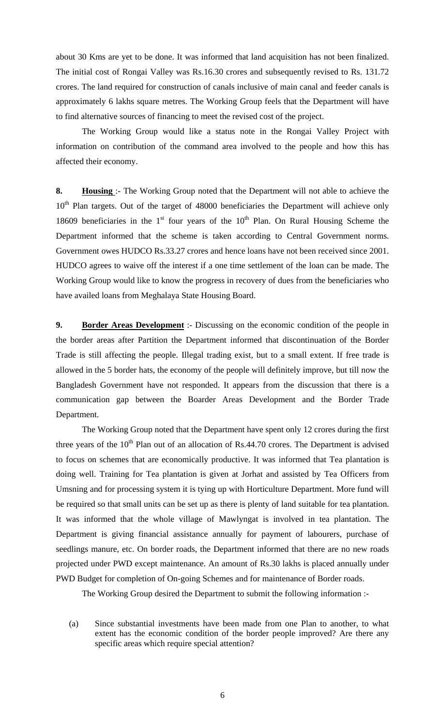about 30 Kms are yet to be done. It was informed that land acquisition has not been finalized. The initial cost of Rongai Valley was Rs.16.30 crores and subsequently revised to Rs. 131.72 crores. The land required for construction of canals inclusive of main canal and feeder canals is approximately 6 lakhs square metres. The Working Group feels that the Department will have to find alternative sources of financing to meet the revised cost of the project.

 The Working Group would like a status note in the Rongai Valley Project with information on contribution of the command area involved to the people and how this has affected their economy.

**8. Housing** :- The Working Group noted that the Department will not able to achieve the  $10<sup>th</sup>$  Plan targets. Out of the target of 48000 beneficiaries the Department will achieve only 18609 beneficiaries in the  $1<sup>st</sup>$  four years of the  $10<sup>th</sup>$  Plan. On Rural Housing Scheme the Department informed that the scheme is taken according to Central Government norms. Government owes HUDCO Rs.33.27 crores and hence loans have not been received since 2001. HUDCO agrees to waive off the interest if a one time settlement of the loan can be made. The Working Group would like to know the progress in recovery of dues from the beneficiaries who have availed loans from Meghalaya State Housing Board.

**9. Border Areas Development** :- Discussing on the economic condition of the people in the border areas after Partition the Department informed that discontinuation of the Border Trade is still affecting the people. Illegal trading exist, but to a small extent. If free trade is allowed in the 5 border hats, the economy of the people will definitely improve, but till now the Bangladesh Government have not responded. It appears from the discussion that there is a communication gap between the Boarder Areas Development and the Border Trade Department.

The Working Group noted that the Department have spent only 12 crores during the first three years of the  $10<sup>th</sup>$  Plan out of an allocation of Rs.44.70 crores. The Department is advised to focus on schemes that are economically productive. It was informed that Tea plantation is doing well. Training for Tea plantation is given at Jorhat and assisted by Tea Officers from Umsning and for processing system it is tying up with Horticulture Department. More fund will be required so that small units can be set up as there is plenty of land suitable for tea plantation. It was informed that the whole village of Mawlyngat is involved in tea plantation. The Department is giving financial assistance annually for payment of labourers, purchase of seedlings manure, etc. On border roads, the Department informed that there are no new roads projected under PWD except maintenance. An amount of Rs.30 lakhs is placed annually under PWD Budget for completion of On-going Schemes and for maintenance of Border roads.

The Working Group desired the Department to submit the following information :-

(a) Since substantial investments have been made from one Plan to another, to what extent has the economic condition of the border people improved? Are there any specific areas which require special attention?